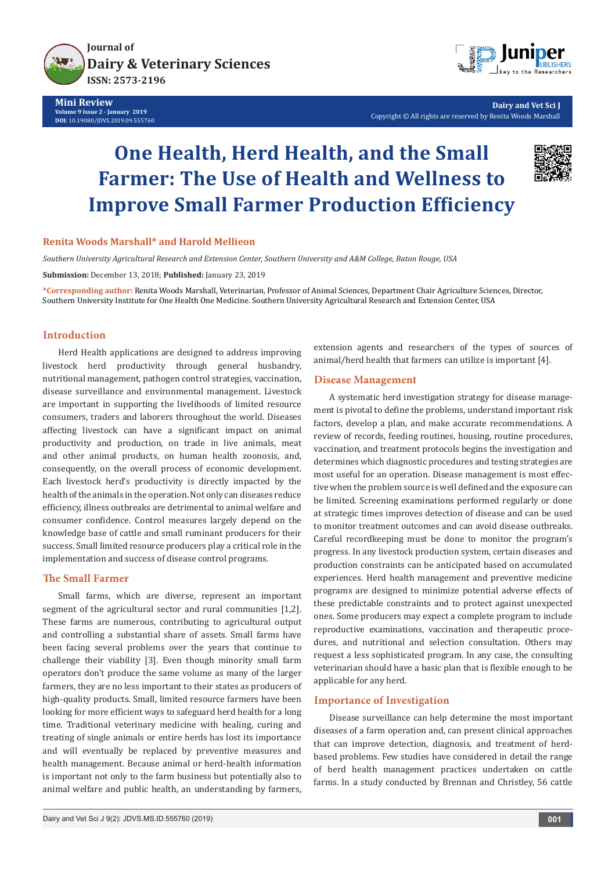

**Mini Review Volume 9 Issue 2 - January 2019 DOI**: [10.19080/JDVS.2019.09.55576](http://dx.doi.org/10.19080/JDVS.2019.09.555760)0



**Dairy and Vet Sci J** Copyright © All rights are reserved by Renita Woods Marshall

# **One Health, Herd Health, and the Small Farmer: The Use of Health and Wellness to Improve Small Farmer Production Efficiency**



#### **Renita Woods Marshall\* and Harold Mellieon**

*Southern University Agricultural Research and Extension Center, Southern University and A&M College, Baton Rouge, USA*

**Submission:** December 13, 2018; **Published:** January 23, 2019

**\*Corresponding author:** Renita Woods Marshall, Veterinarian, Professor of Animal Sciences, Department Chair Agriculture Sciences, Director, Southern University Institute for One Health One Medicine. Southern University Agricultural Research and Extension Center, USA

## **Introduction**

Herd Health applications are designed to address improving livestock herd productivity through general husbandry, nutritional management, pathogen control strategies, vaccination, disease surveillance and environmental management. Livestock are important in supporting the livelihoods of limited resource consumers, traders and laborers throughout the world. Diseases affecting livestock can have a significant impact on animal productivity and production, on trade in live animals, meat and other animal products, on human health zoonosis, and, consequently, on the overall process of economic development. Each livestock herd's productivity is directly impacted by the health of the animals in the operation. Not only can diseases reduce efficiency, illness outbreaks are detrimental to animal welfare and consumer confidence. Control measures largely depend on the knowledge base of cattle and small ruminant producers for their success. Small limited resource producers play a critical role in the implementation and success of disease control programs.

## **The Small Farmer**

Small farms, which are diverse, represent an important segment of the agricultural sector and rural communities [1,2]. These farms are numerous, contributing to agricultural output and controlling a substantial share of assets. Small farms have been facing several problems over the years that continue to challenge their viability [3]. Even though minority small farm operators don't produce the same volume as many of the larger farmers, they are no less important to their states as producers of high-quality products. Small, limited resource farmers have been looking for more efficient ways to safeguard herd health for a long time. Traditional veterinary medicine with healing, curing and treating of single animals or entire herds has lost its importance and will eventually be replaced by preventive measures and health management. Because animal or herd-health information is important not only to the farm business but potentially also to animal welfare and public health, an understanding by farmers,

extension agents and researchers of the types of sources of animal/herd health that farmers can utilize is important [4].

## **Disease Management**

A systematic herd investigation strategy for disease management is pivotal to define the problems, understand important risk factors, develop a plan, and make accurate recommendations. A review of records, feeding routines, housing, routine procedures, vaccination, and treatment protocols begins the investigation and determines which diagnostic procedures and testing strategies are most useful for an operation. Disease management is most effective when the problem source is well defined and the exposure can be limited. Screening examinations performed regularly or done at strategic times improves detection of disease and can be used to monitor treatment outcomes and can avoid disease outbreaks. Careful recordkeeping must be done to monitor the program's progress. In any livestock production system, certain diseases and production constraints can be anticipated based on accumulated experiences. Herd health management and preventive medicine programs are designed to minimize potential adverse effects of these predictable constraints and to protect against unexpected ones. Some producers may expect a complete program to include reproductive examinations, vaccination and therapeutic procedures, and nutritional and selection consultation. Others may request a less sophisticated program. In any case, the consulting veterinarian should have a basic plan that is flexible enough to be applicable for any herd.

## **Importance of Investigation**

Disease surveillance can help determine the most important diseases of a farm operation and, can present clinical approaches that can improve detection, diagnosis, and treatment of herdbased problems. Few studies have considered in detail the range of herd health management practices undertaken on cattle farms. In a study conducted by Brennan and Christley, 56 cattle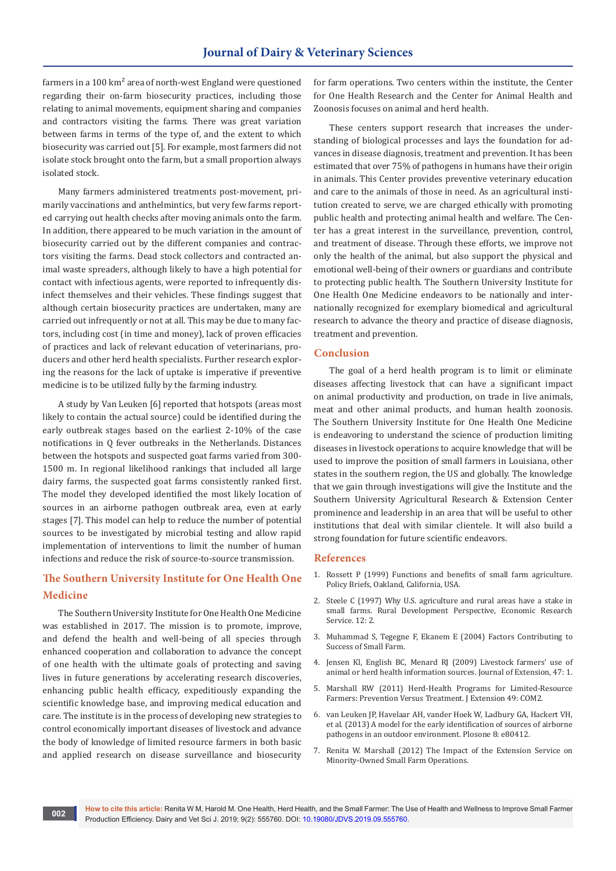farmers in a 100 km<sup>2</sup> area of north-west England were questioned regarding their on-farm biosecurity practices, including those relating to animal movements, equipment sharing and companies and contractors visiting the farms. There was great variation between farms in terms of the type of, and the extent to which biosecurity was carried out [5]. For example, most farmers did not isolate stock brought onto the farm, but a small proportion always isolated stock.

Many farmers administered treatments post-movement, primarily vaccinations and anthelmintics, but very few farms reported carrying out health checks after moving animals onto the farm. In addition, there appeared to be much variation in the amount of biosecurity carried out by the different companies and contractors visiting the farms. Dead stock collectors and contracted animal waste spreaders, although likely to have a high potential for contact with infectious agents, were reported to infrequently disinfect themselves and their vehicles. These findings suggest that although certain biosecurity practices are undertaken, many are carried out infrequently or not at all. This may be due to many factors, including cost (in time and money), lack of proven efficacies of practices and lack of relevant education of veterinarians, producers and other herd health specialists. Further research exploring the reasons for the lack of uptake is imperative if preventive medicine is to be utilized fully by the farming industry.

A study by Van Leuken [6] reported that hotspots (areas most likely to contain the actual source) could be identified during the early outbreak stages based on the earliest 2-10% of the case notifications in Q fever outbreaks in the Netherlands. Distances between the hotspots and suspected goat farms varied from 300- 1500 m. In regional likelihood rankings that included all large dairy farms, the suspected goat farms consistently ranked first. The model they developed identified the most likely location of sources in an airborne pathogen outbreak area, even at early stages [7]. This model can help to reduce the number of potential sources to be investigated by microbial testing and allow rapid implementation of interventions to limit the number of human infections and reduce the risk of source-to-source transmission.

## **The Southern University Institute for One Health One Medicine**

The Southern University Institute for One Health One Medicine was established in 2017. The mission is to promote, improve, and defend the health and well-being of all species through enhanced cooperation and collaboration to advance the concept of one health with the ultimate goals of protecting and saving lives in future generations by accelerating research discoveries, enhancing public health efficacy, expeditiously expanding the scientific knowledge base, and improving medical education and care. The institute is in the process of developing new strategies to control economically important diseases of livestock and advance the body of knowledge of limited resource farmers in both basic and applied research on disease surveillance and biosecurity

for farm operations. Two centers within the institute, the Center for One Health Research and the Center for Animal Health and Zoonosis focuses on animal and herd health.

These centers support research that increases the understanding of biological processes and lays the foundation for advances in disease diagnosis, treatment and prevention. It has been estimated that over 75% of pathogens in humans have their origin in animals. This Center provides preventive veterinary education and care to the animals of those in need. As an agricultural institution created to serve, we are charged ethically with promoting public health and protecting animal health and welfare. The Center has a great interest in the surveillance, prevention, control, and treatment of disease. Through these efforts, we improve not only the health of the animal, but also support the physical and emotional well-being of their owners or guardians and contribute to protecting public health. The Southern University Institute for One Health One Medicine endeavors to be nationally and internationally recognized for exemplary biomedical and agricultural research to advance the theory and practice of disease diagnosis, treatment and prevention.

#### **Conclusion**

The goal of a herd health program is to limit or eliminate diseases affecting livestock that can have a significant impact on animal productivity and production, on trade in live animals, meat and other animal products, and human health zoonosis. The Southern University Institute for One Health One Medicine is endeavoring to understand the science of production limiting diseases in livestock operations to acquire knowledge that will be used to improve the position of small farmers in Louisiana, other states in the southern region, the US and globally. The knowledge that we gain through investigations will give the Institute and the Southern University Agricultural Research & Extension Center prominence and leadership in an area that will be useful to other institutions that deal with similar clientele. It will also build a strong foundation for future scientific endeavors.

## **References**

- 1. Rossett P (1999) Functions and benefits of small farm agriculture. Policy Briefs, Oakland, California, USA.
- 2. Steele C (1997) Why U.S. agriculture and rural areas have a stake in small farms. Rural Development Perspective, Economic Research Service. 12: 2.
- 3. Muhammad S, Tegegne F, Ekanem E (2004) Factors Contributing to Success of Small Farm.
- 4. Jensen Kl, English BC, Menard RJ (2009) Livestock farmers' use of animal or herd health information sources. Journal of Extension, 47: 1.
- 5. [Marshall RW \(2011\) Herd-Health Programs for Limited-Resource](https://joe.org/joe/2011october/comm2.php)  [Farmers: Prevention Versus Treatment. J Extension 49: COM2.](https://joe.org/joe/2011october/comm2.php)
- 6. van Leuken JP, Havelaar AH, vander Hoek W, Ladbury GA, Hackert VH, et al. (2013) A model for the early identification of sources of airborne pathogens in an outdoor environment. Plosone 8: e80412.
- 7. [Renita W. Marshall \(2012\) The Impact of the Extension Service on](https://joe.org/joe/2012february/comm1.php)  [Minority-Owned Small Farm Operations.](https://joe.org/joe/2012february/comm1.php)